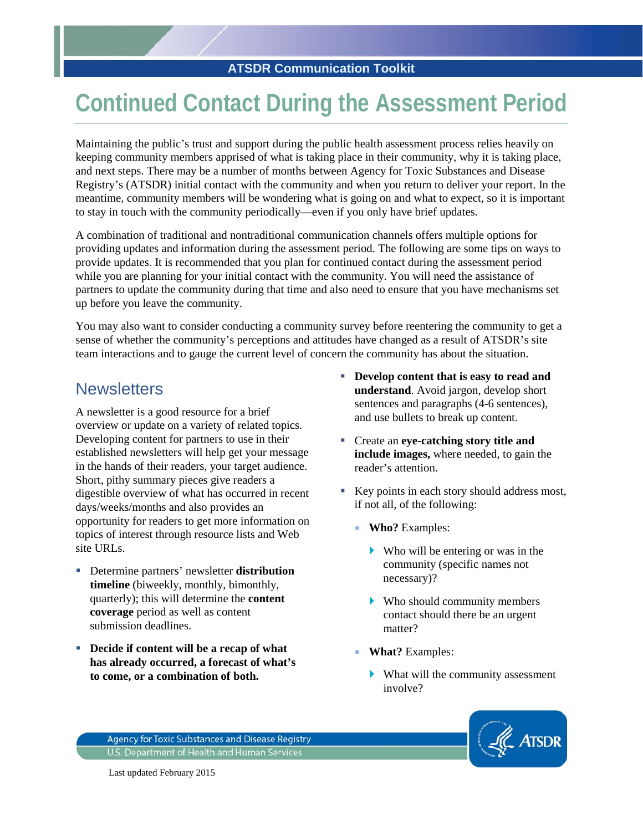# **Continued Contact During the Assessment Period**

Maintaining the public's trust and support during the public health assessment process relies heavily on keeping community members apprised of what is taking place in their community, why it is taking place, and next steps. There may be a number of months between Agency for Toxic Substances and Disease Registry's (ATSDR) initial contact with the community and when you return to deliver your report. In the meantime, community members will be wondering what is going on and what to expect, so it is important to stay in touch with the community periodically—even if you only have brief updates.

A combination of traditional and nontraditional communication channels offers multiple options for providing updates and information during the assessment period. The following are some tips on ways to provide updates. It is recommended that you plan for continued contact during the assessment period while you are planning for your initial contact with the community. You will need the assistance of partners to update the community during that time and also need to ensure that you have mechanisms set up before you leave the community.

You may also want to consider conducting a community survey before reentering the community to get a sense of whether the community's perceptions and attitudes have changed as a result of ATSDR's site team interactions and to gauge the current level of concern the community has about the situation.

#### **Newsletters**

A newsletter is a good resource for a brief overview or update on a variety of related topics. Developing content for partners to use in their established newsletters will help get your message in the hands of their readers, your target audience. Short, pithy summary pieces give readers a digestible overview of what has occurred in recent days/weeks/months and also provides an opportunity for readers to get more information on topics of interest through resource lists and Web site URLs.

- Determine partners' newsletter **distribution timeline** (biweekly, monthly, bimonthly, quarterly); this will determine the **content coverage** period as well as content submission deadlines.
- **Decide if content will be a recap of what has already occurred, a forecast of what's to come, or a combination of both.**
- **Develop content that is easy to read and understand**. Avoid jargon, develop short sentences and paragraphs (4-6 sentences), and use bullets to break up content.
- Create an **eye-catching story title and include images,** where needed, to gain the reader's attention.
- Key points in each story should address most, if not all, of the following:
	- **Who?** Examples:
		- Who will be entering or was in the community (specific names not necessary)?
		- Who should community members contact should there be an urgent matter?
	- **What?** Examples:
		- What will the community assessment involve?



Agency for Toxic Substances and Disease Registry U.S. Department of Health and Human Services

Last updated February 2015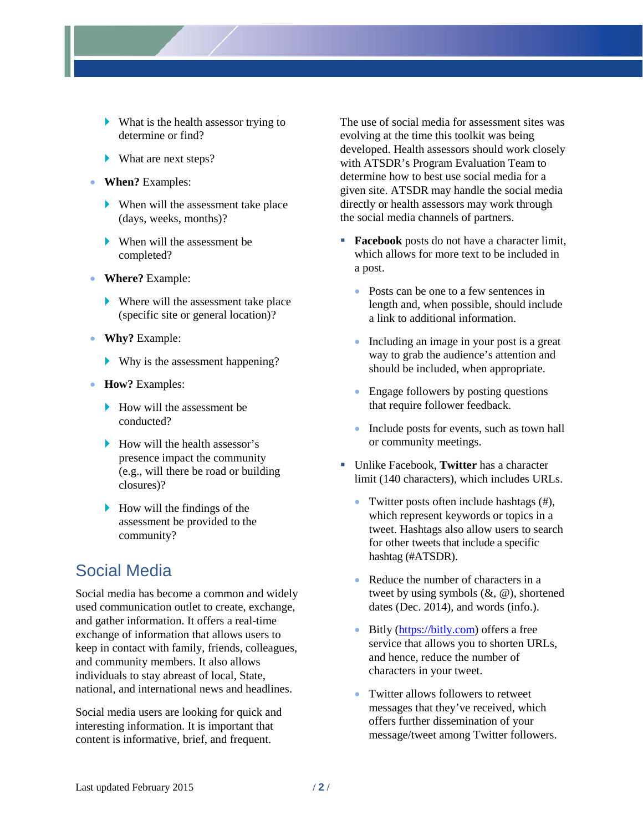- What is the health assessor trying to determine or find?
- What are next steps?
- **When?** Examples:
	- When will the assessment take place (days, weeks, months)?
	- When will the assessment be completed?
- **Where?** Example:
	- Where will the assessment take place (specific site or general location)?
- **Why?** Example:
	- Why is the assessment happening?
- **How?** Examples:
	- $\blacktriangleright$  How will the assessment be conducted?
	- $\blacktriangleright$  How will the health assessor's presence impact the community (e.g., will there be road or building closures)?
	- $\blacktriangleright$  How will the findings of the assessment be provided to the community?

# Social Media

Social media has become a common and widely used communication outlet to create, exchange, and gather information. It offers a real-time exchange of information that allows users to keep in contact with family, friends, colleagues, and community members. It also allows individuals to stay abreast of local, State, national, and international news and headlines.

Social media users are looking for quick and interesting information. It is important that content is informative, brief, and frequent.

The use of social media for assessment sites was evolving at the time this toolkit was being developed. Health assessors should work closely with ATSDR's Program Evaluation Team to determine how to best use social media for a given site. ATSDR may handle the social media directly or health assessors may work through the social media channels of partners.

- **Facebook** posts do not have a character limit, which allows for more text to be included in a post.
	- Posts can be one to a few sentences in length and, when possible, should include a link to additional information.
	- Including an image in your post is a great way to grab the audience's attention and should be included, when appropriate.
	- Engage followers by posting questions that require follower feedback.
	- Include posts for events, such as town hall or community meetings.
- Unlike Facebook, **Twitter** has a character limit (140 characters), which includes URLs.
	- Twitter posts often include hashtags (#), which represent keywords or topics in a tweet. Hashtags also allow users to search for other tweets that include a specific hashtag (#ATSDR).
	- Reduce the number of characters in a tweet by using symbols (&, @), shortened dates (Dec. 2014), and words (info.).
	- Bitly [\(https://bitly.com\)](https://bitly.com/) offers a free service that allows you to shorten URLs, and hence, reduce the number of characters in your tweet.
	- Twitter allows followers to retweet messages that they've received, which offers further dissemination of your message/tweet among Twitter followers.